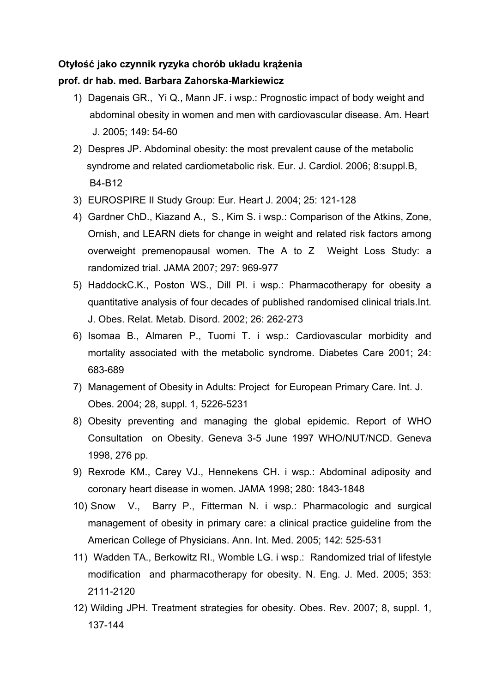# **Otyłość jako czynnik ryzyka chorób układu krążenia**

## **prof. dr hab. med. Barbara Zahorska-Markiewicz**

- 1) Dagenais GR., Yi Q., Mann JF. i wsp.: Prognostic impact of body weight and abdominal obesity in women and men with cardiovascular disease. Am. Heart J. 2005; 149: 54-60
- 2) Despres JP. Abdominal obesity: the most prevalent cause of the metabolic syndrome and related cardiometabolic risk. Eur. J. Cardiol. 2006; 8:suppl.B, B4-B12
- 3) EUROSPIRE II Study Group: Eur. Heart J. 2004; 25: 121-128
- 4) Gardner ChD., Kiazand A., S., Kim S. i wsp.: Comparison of the Atkins, Zone, Ornish, and LEARN diets for change in weight and related risk factors among overweight premenopausal women. The A to Z Weight Loss Study: a randomized trial. JAMA 2007; 297: 969-977
- 5) HaddockC.K., Poston WS., Dill Pl. i wsp.: Pharmacotherapy for obesity a quantitative analysis of four decades of published randomised clinical trials.Int. J. Obes. Relat. Metab. Disord. 2002; 26: 262-273
- 6) Isomaa B., Almaren P., Tuomi T. i wsp.: Cardiovascular morbidity and mortality associated with the metabolic syndrome. Diabetes Care 2001; 24: 683-689
- 7) Management of Obesity in Adults: Project for European Primary Care. Int. J. Obes. 2004; 28, suppl. 1, 5226-5231
- 8) Obesity preventing and managing the global epidemic. Report of WHO Consultation on Obesity. Geneva 3-5 June 1997 WHO/NUT/NCD. Geneva 1998, 276 pp.
- 9) Rexrode KM., Carey VJ., Hennekens CH. i wsp.: Abdominal adiposity and coronary heart disease in women. JAMA 1998; 280: 1843-1848
- 10) Snow V., Barry P., Fitterman N. i wsp.: Pharmacologic and surgical management of obesity in primary care: a clinical practice guideline from the American College of Physicians. Ann. Int. Med. 2005; 142: 525-531
- 11) Wadden TA., Berkowitz RI., Womble LG. i wsp.: Randomized trial of lifestyle modification and pharmacotherapy for obesity. N. Eng. J. Med. 2005; 353: 2111-2120
- 12) Wilding JPH. Treatment strategies for obesity. Obes. Rev. 2007; 8, suppl. 1, 137-144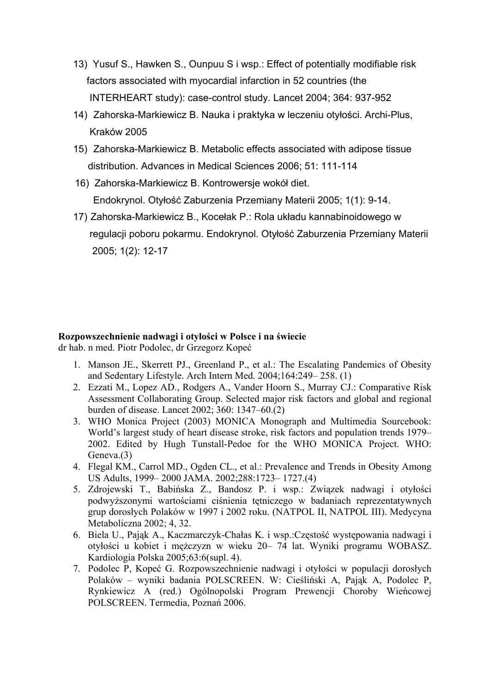- 13) Yusuf S., Hawken S., Ounpuu S i wsp.: Effect of potentially modifiable risk factors associated with myocardial infarction in 52 countries (the INTERHEART study): case-control study. Lancet 2004; 364: 937-952
- 14) Zahorska-Markiewicz B. Nauka i praktyka w leczeniu otyłości. Archi-Plus, Kraków 2005
- 15) Zahorska-Markiewicz B. Metabolic effects associated with adipose tissue distribution. Advances in Medical Sciences 2006; 51: 111-114
- 16) Zahorska-Markiewicz B. Kontrowersje wokół diet. Endokrynol. Otyłość [Zaburzenia Przemiany Materii 2005; 1](http://www.slam.katowice.pl/scripts/expertus.exe?KAT=l%3A%5Cexpertus.cd%5Cbib%5Cpar%5C&FST=data.fst&FDT=data.fdt&ekran=ISO&lnkmsk=2&cond=AND&sort=1%2C11&mask=2&F_00=06&V_00=Endokrynologia+Oty%B3o%B6%E6+i+Zaburzenia+Przemiany+Materii+2005+T.1+nr+1)(1): 9-14.
- 17) Zahorska-Markiewicz B., Kocełak P.: Rola układu kannabinoidowego w regulacji poboru pokarmu. Endokrynol. Otyłość [Zaburzenia Przemiany Materii](http://www.slam.katowice.pl/scripts/expertus.exe?KAT=l%3A%5Cexpertus.cd%5Cbib%5Cpar%5C&FST=data.fst&FDT=data.fdt&ekran=ISO&lnkmsk=2&cond=AND&sort=1%2C11&mask=2&F_00=06&V_00=Endokrynologia+Oty%B3o%B6%E6+i+Zaburzenia+Przemiany+Materii+2005+T.1+nr+1)   [2005; 1](http://www.slam.katowice.pl/scripts/expertus.exe?KAT=l%3A%5Cexpertus.cd%5Cbib%5Cpar%5C&FST=data.fst&FDT=data.fdt&ekran=ISO&lnkmsk=2&cond=AND&sort=1%2C11&mask=2&F_00=06&V_00=Endokrynologia+Oty%B3o%B6%E6+i+Zaburzenia+Przemiany+Materii+2005+T.1+nr+1)(2): 12-17

#### **Rozpowszechnienie nadwagi i otyłości w Polsce i na świecie**

dr hab. n med. Piotr Podolec, dr Grzegorz Kopeć

- 1. Manson JE., Skerrett PJ., Greenland P., et al.: The Escalating Pandemics of Obesity and Sedentary Lifestyle. Arch Intern Med. 2004;164:249– 258. (1)
- 2. Ezzati M., Lopez AD., Rodgers A., Vander Hoorn S., Murray CJ.: Comparative Risk Assessment Collaborating Group. Selected major risk factors and global and regional burden of disease. Lancet 2002; 360: 1347–60.(2)
- 3. WHO Monica Project (2003) MONICA Monograph and Multimedia Sourcebook: World's largest study of heart disease stroke, risk factors and population trends 1979– 2002. Edited by Hugh Tunstall-Pedoe for the WHO MONICA Project. WHO: Geneva.(3)
- 4. Flegal KM., Carrol MD., Ogden CL., et al.: Prevalence and Trends in Obesity Among US Adults, 1999– 2000 JAMA. 2002;288:1723– 1727.(4)
- 5. Zdrojewski T., Babińska Z., Bandosz P. i wsp.: Związek nadwagi i otyłości podwyższonymi wartościami ciśnienia tętniczego w badaniach reprezentatywnych grup dorosłych Polaków w 1997 i 2002 roku. (NATPOL II, NATPOL III). Medycyna Metaboliczna 2002; 4, 32.
- 6. Biela U., Pająk A., Kaczmarczyk-Chałas K. i wsp.:Częstość występowania nadwagi i otyłości u kobiet i mężczyzn w wieku 20– 74 lat. Wyniki programu WOBASZ. Kardiologia Polska 2005;63:6(supl. 4).
- 7. Podolec P, Kopeć G. Rozpowszechnienie nadwagi i otyłości w populacji dorosłych Polaków – wyniki badania POLSCREEN. W: Cieśliński A, Pająk A, Podolec P, Rynkiewicz A (red.) Ogólnopolski Program Prewencji Choroby Wieńcowej POLSCREEN. Termedia, Poznań 2006.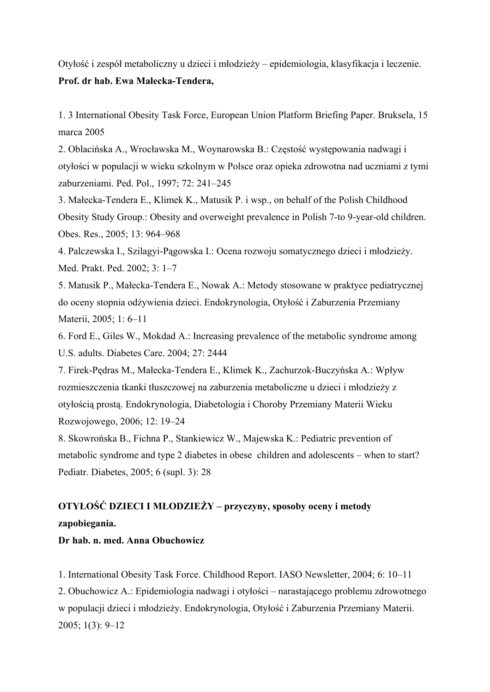Otyłość i zespół metaboliczny u dzieci i młodzieży – epidemiologia, klasyfikacja i leczenie. **Prof. dr hab. Ewa Małecka-Tendera,** 

1. 3 International Obesity Task Force, European Union Platform Briefing Paper. Bruksela, 15 marca 2005

2. Oblacińska A., Wrocławska M., Woynarowska B.: Częstość występowania nadwagi i otyłości w populacji w wieku szkolnym w Polsce oraz opieka zdrowotna nad uczniami z tymi zaburzeniami. Ped. Pol., 1997; 72: 241–245

3. Małecka-Tendera E., Klimek K., Matusik P. i wsp., on behalf of the Polish Childhood Obesity Study Group.: Obesity and overweight prevalence in Polish 7-to 9-year-old children. Obes. Res., 2005; 13: 964–968

4. Palczewska I., Szilagyi-Pągowska I.: Ocena rozwoju somatycznego dzieci i młodzieży. Med. Prakt. Ped. 2002; 3: 1–7

5. Matusik P., Małecka-Tendera E., Nowak A.: Metody stosowane w praktyce pediatrycznej do oceny stopnia odżywienia dzieci. Endokrynologia, Otyłość i Zaburzenia Przemiany Materii, 2005; 1: 6–11

6. Ford E., Giles W., Mokdad A.: Increasing prevalence of the metabolic syndrome among U.S. adults. Diabetes Care. 2004; 27: 2444

7. Firek-Pędras M., Małecka-Tendera E., Klimek K., Zachurzok-Buczyńska A.: Wpływ rozmieszczenia tkanki tłuszczowej na zaburzenia metaboliczne u dzieci i młodzieży z otyłością prostą. Endokrynologia, Diabetologia i Choroby Przemiany Materii Wieku Rozwojowego, 2006; 12: 19–24

8. Skowrońska B., Fichna P., Stankiewicz W., Majewska K.: Pediatric prevention of metabolic syndrome and type 2 diabetes in obese children and adolescents – when to start? Pediatr. Diabetes, 2005; 6 (supl. 3): 28

# **OTYŁOŚĆ DZIECI I MŁODZIEŻY – przyczyny, sposoby oceny i metody zapobiegania.**

## **Dr hab. n. med. Anna Obuchowicz**

1. International Obesity Task Force. Childhood Report. IASO Newsletter, 2004; 6: 10–11

2. Obuchowicz A.: Epidemiologia nadwagi i otyłości – narastającego problemu zdrowotnego w populacji dzieci i młodzieży. Endokrynologia, Otyłość i Zaburzenia Przemiany Materii. 2005; 1(3): 9–12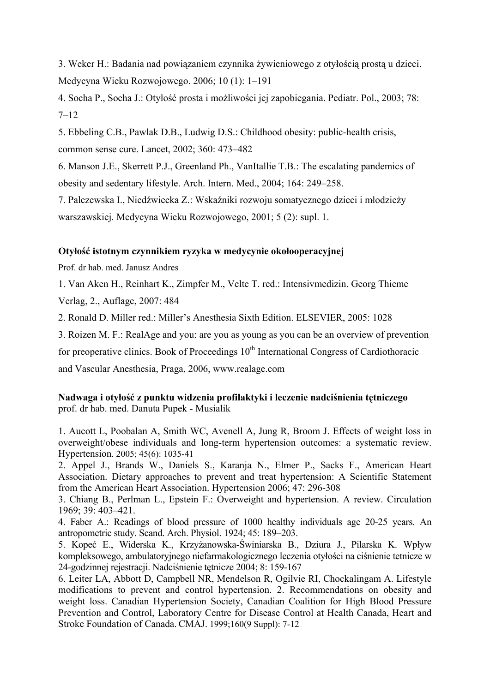3. Weker H.: Badania nad powiązaniem czynnika żywieniowego z otyłością prostą u dzieci. Medycyna Wieku Rozwojowego. 2006; 10 (1): 1–191

4. Socha P., Socha J.: Otyłość prosta i możliwości jej zapobiegania. Pediatr. Pol., 2003; 78:  $7-12$ 

5. Ebbeling C.B., Pawlak D.B., Ludwig D.S.: Childhood obesity: public-health crisis, common sense cure. Lancet, 2002; 360: 473–482

6. Manson J.E., Skerrett P.J., Greenland Ph., VanItallie T.B.: The escalating pandemics of obesity and sedentary lifestyle. Arch. Intern. Med., 2004; 164: 249–258.

7. Palczewska I., Niedźwiecka Z.: Wskaźniki rozwoju somatycznego dzieci i młodzieży warszawskiej. Medycyna Wieku Rozwojowego, 2001; 5 (2): supl. 1.

## **Otyłość istotnym czynnikiem ryzyka w medycynie okołooperacyjnej**

Prof. dr hab. med. Janusz Andres

1. Van Aken H., Reinhart K., Zimpfer M., Velte T. red.: Intensivmedizin. Georg Thieme Verlag, 2., Auflage, 2007: 484

2. Ronald D. Miller red.: Miller's Anesthesia Sixth Edition. ELSEVIER, 2005: 1028

3. Roizen M. F.: RealAge and you: are you as young as you can be an overview of prevention

for preoperative clinics. Book of Proceedings  $10<sup>th</sup>$  International Congress of Cardiothoracic

and Vascular Anesthesia, Praga, 2006, www.realage.com

## **Nadwaga i otyłość z punktu widzenia profilaktyki i leczenie nadciśnienia tętniczego**  prof. dr hab. med. Danuta Pupek - Musialik

1. [Aucott L,](http://www.ncbi.nlm.nih.gov/entrez/query.fcgi?db=pubmed&cmd=Search&itool=pubmed_AbstractPlus&term=%22Aucott+L%22%5BAuthor%5D) [Poobalan A,](http://www.ncbi.nlm.nih.gov/entrez/query.fcgi?db=pubmed&cmd=Search&itool=pubmed_AbstractPlus&term=%22Poobalan+A%22%5BAuthor%5D) [Smith WC](http://www.ncbi.nlm.nih.gov/entrez/query.fcgi?db=pubmed&cmd=Search&itool=pubmed_AbstractPlus&term=%22Smith+WC%22%5BAuthor%5D), [Avenell A,](http://www.ncbi.nlm.nih.gov/entrez/query.fcgi?db=pubmed&cmd=Search&itool=pubmed_AbstractPlus&term=%22Avenell+A%22%5BAuthor%5D) [Jung R,](http://www.ncbi.nlm.nih.gov/entrez/query.fcgi?db=pubmed&cmd=Search&itool=pubmed_AbstractPlus&term=%22Jung+R%22%5BAuthor%5D) [Broom J.](http://www.ncbi.nlm.nih.gov/entrez/query.fcgi?db=pubmed&cmd=Search&itool=pubmed_AbstractPlus&term=%22Broom+J%22%5BAuthor%5D) Effects of weight loss in overweight/obese individuals and long-term hypertension outcomes: a systematic review. [Hypertension.](javascript:AL_get(this,%20) 2005; 45(6): 1035-41

2. Appel J., Brands W., Daniels S., Karanja N., Elmer P., Sacks F., American Heart Association. Dietary approaches to prevent and treat hypertension: A Scientific Statement from the American Heart Association. Hypertension 2006; 47: 296-308

3. Chiang B., Perlman L., Epstein F.: Overweight and hypertension. A review. Circulation 1969; 39: 403–421.

4. Faber A.: Readings of blood pressure of 1000 healthy individuals age 20-25 years. An antropometric study. Scand. Arch. Physiol. 1924; 45: 189–203.

5. Kopeć E., Widerska K., Krzyżanowska-Świniarska B., Dziura J., Pilarska K. Wpływ kompleksowego, ambulatoryjnego niefarmakologicznego leczenia otyłości na ciśnienie tetnicze w 24-godzinnej rejestracji. Nadciśnienie tętnicze 2004; 8: 159-167

6. [Leiter LA,](http://www.ncbi.nlm.nih.gov/entrez/query.fcgi?db=pubmed&cmd=Search&itool=pubmed_AbstractPlus&term=%22Leiter+LA%22%5BAuthor%5D) [Abbott D,](http://www.ncbi.nlm.nih.gov/entrez/query.fcgi?db=pubmed&cmd=Search&itool=pubmed_AbstractPlus&term=%22Abbott+D%22%5BAuthor%5D) [Campbell NR](http://www.ncbi.nlm.nih.gov/entrez/query.fcgi?db=pubmed&cmd=Search&itool=pubmed_AbstractPlus&term=%22Campbell+NR%22%5BAuthor%5D), [Mendelson R,](http://www.ncbi.nlm.nih.gov/entrez/query.fcgi?db=pubmed&cmd=Search&itool=pubmed_AbstractPlus&term=%22Mendelson+R%22%5BAuthor%5D) [Ogilvie RI,](http://www.ncbi.nlm.nih.gov/entrez/query.fcgi?db=pubmed&cmd=Search&itool=pubmed_AbstractPlus&term=%22Ogilvie+RI%22%5BAuthor%5D) [Chockalingam A](http://www.ncbi.nlm.nih.gov/entrez/query.fcgi?db=pubmed&cmd=Search&itool=pubmed_AbstractPlus&term=%22Chockalingam+A%22%5BAuthor%5D). Lifestyle modifications to prevent and control hypertension. 2. Recommendations on obesity and weight loss. Canadian Hypertension Society, Canadian Coalition for High Blood Pressure Prevention and Control, Laboratory Centre for Disease Control at Health Canada, Heart and Stroke Foundation of Canada. [CMAJ.](javascript:AL_get(this,%20) 1999;160(9 Suppl): 7-12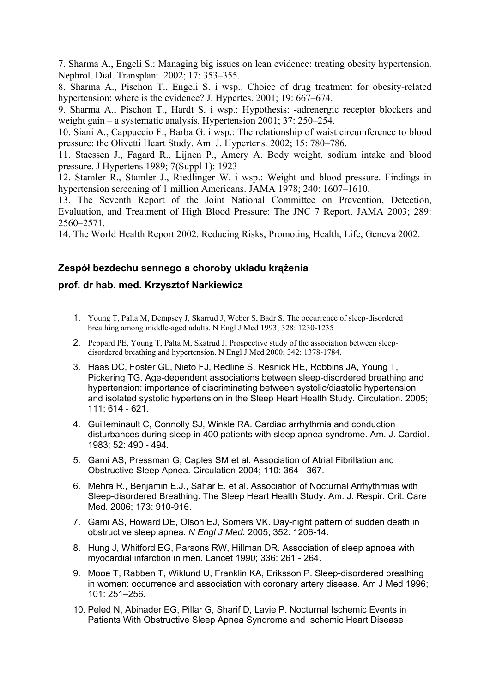7. Sharma A., Engeli S.: Managing big issues on lean evidence: treating obesity hypertension. Nephrol. Dial. Transplant. 2002; 17: 353–355.

8. Sharma A., Pischon T., Engeli S. i wsp.: Choice of drug treatment for obesity-related hypertension: where is the evidence? J. Hypertes. 2001; 19: 667–674.

9. Sharma A., Pischon T., Hardt S. i wsp.: Hypothesis: -adrenergic receptor blockers and weight gain – a systematic analysis. Hypertension 2001; 37: 250–254.

10. Siani A., Cappuccio F., Barba G. i wsp.: The relationship of waist circumference to blood pressure: the Olivetti Heart Study. Am. J. Hypertens. 2002; 15: 780–786.

11. Staessen J., Fagard R., Lijnen P., Amery A. Body weight, sodium intake and blood pressure. J Hypertens 1989; 7(Suppl 1): 1923

12. Stamler R., Stamler J., Riedlinger W. i wsp.: Weight and blood pressure. Findings in hypertension screening of 1 million Americans. JAMA 1978; 240: 1607–1610.

13. The Seventh Report of the Joint National Committee on Prevention, Detection, Evaluation, and Treatment of High Blood Pressure: The JNC 7 Report. JAMA 2003; 289: 2560–2571.

14. The World Health Report 2002. Reducing Risks, Promoting Health, Life, Geneva 2002.

# **Zespół bezdechu sennego a choroby układu krążenia**

## **prof. dr hab. med. Krzysztof Narkiewicz**

- 1. Young T, Palta M, Dempsey J, Skarrud J, Weber S, Badr S. The occurrence of sleep-disordered breathing among middle-aged adults. N Engl J Med 1993; 328: 1230-1235
- 2. Peppard PE, Young T, Palta M, Skatrud J. Prospective study of the association between sleepdisordered breathing and hypertension. N Engl J Med 2000; 342: 1378-1784.
- 3. Haas DC, Foster GL, Nieto FJ, Redline S, Resnick HE, Robbins JA, Young T, Pickering TG. Age-dependent associations between sleep-disordered breathing and hypertension: importance of discriminating between systolic/diastolic hypertension and isolated systolic hypertension in the Sleep Heart Health Study. Circulation. 2005; 111: 614 - 621.
- 4. Guilleminault C, Connolly SJ, Winkle RA. Cardiac arrhythmia and conduction disturbances during sleep in 400 patients with sleep apnea syndrome. Am. J. Cardiol. 1983; 52: 490 - 494.
- 5. Gami AS, Pressman G, Caples SM et al. Association of Atrial Fibrillation and Obstructive Sleep Apnea. Circulation 2004; 110: 364 - 367.
- 6. Mehra R., Benjamin E.J., Sahar E. et al. Association of Nocturnal Arrhythmias with Sleep-disordered Breathing. The Sleep Heart Health Study. Am. J. Respir. Crit. Care Med. 2006; 173: 910-916.
- 7. Gami AS, Howard DE, Olson EJ, Somers VK. Day-night pattern of sudden death in obstructive sleep apnea. *N Engl J Med.* 2005; 352: 1206-14.
- 8. Hung J, Whitford EG, Parsons RW, Hillman DR. Association of sleep apnoea with myocardial infarction in men. Lancet 1990; 336: 261 - 264.
- 9. Mooe T, Rabben T, Wiklund U, Franklin KA, Eriksson P. Sleep-disordered breathing in women: occurrence and association with coronary artery disease. Am J Med 1996; 101: 251–256.
- 10. Peled N, Abinader EG, Pillar G, Sharif D, Lavie P. Nocturnal Ischemic Events in Patients With Obstructive Sleep Apnea Syndrome and Ischemic Heart Disease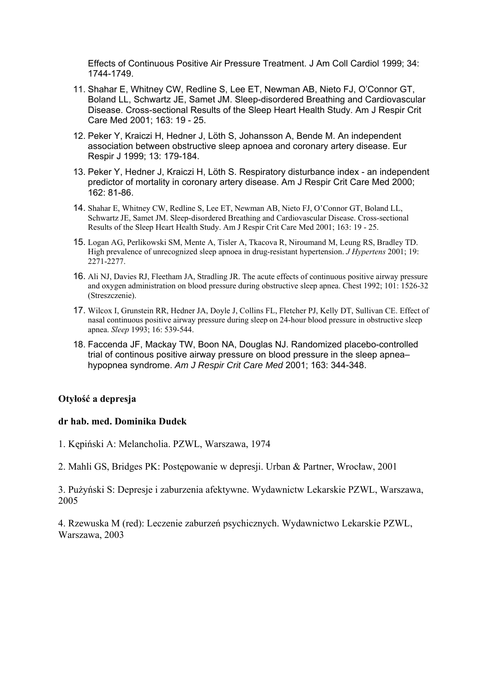Effects of Continuous Positive Air Pressure Treatment. J Am Coll Cardiol 1999; 34: 1744-1749.

- 11. Shahar E, Whitney CW, Redline S, Lee ET, Newman AB, Nieto FJ, O'Connor GT, Boland LL, Schwartz JE, Samet JM. Sleep-disordered Breathing and Cardiovascular Disease. Cross-sectional Results of the Sleep Heart Health Study. Am J Respir Crit Care Med 2001; 163: 19 - 25.
- 12. Peker Y, Kraiczi H, Hedner J, Löth S, Johansson A, Bende M. An independent association between obstructive sleep apnoea and coronary artery disease. Eur Respir J 1999; 13: 179-184.
- 13. Peker Y, Hedner J, Kraiczi H, Löth S. Respiratory disturbance index an independent predictor of mortality in coronary artery disease. Am J Respir Crit Care Med 2000; 162: 81-86.
- 14. Shahar E, Whitney CW, Redline S, Lee ET, Newman AB, Nieto FJ, O'Connor GT, Boland LL, Schwartz JE, Samet JM. Sleep-disordered Breathing and Cardiovascular Disease. Cross-sectional Results of the Sleep Heart Health Study. Am J Respir Crit Care Med 2001; 163: 19 - 25.
- 15. Logan AG, Perlikowski SM, Mente A, Tisler A, Tkacova R, Niroumand M, Leung RS, Bradley TD. High prevalence of unrecognized sleep apnoea in drug-resistant hypertension. *J Hypertens* 2001; 19: 2271-2277.
- 16. Ali NJ, Davies RJ, Fleetham JA, Stradling JR. The acute effects of continuous positive airway pressure and oxygen administration on blood pressure during obstructive sleep apnea. Chest 1992; 101: 1526-32 (Streszczenie).
- 17. Wilcox I, Grunstein RR, Hedner JA, Doyle J, Collins FL, Fletcher PJ, Kelly DT, Sullivan CE. Effect of nasal continuous positive airway pressure during sleep on 24-hour blood pressure in obstructive sleep apnea. *Sleep* 1993; 16: 539-544.
- 18. Faccenda JF, Mackay TW, Boon NA, Douglas NJ. Randomized placebo-controlled trial of continous positive airway pressure on blood pressure in the sleep apnea– hypopnea syndrome. *Am J Respir Crit Care Med* 2001; 163: 344-348.

# **Otyłość a depresja**

#### **dr hab. med. Dominika Dudek**

- 1. Kępiński A: Melancholia. PZWL, Warszawa, 1974
- 2. Mahli GS, Bridges PK: Postępowanie w depresji. Urban & Partner, Wrocław, 2001

3. Pużyński S: Depresje i zaburzenia afektywne. Wydawnictw Lekarskie PZWL, Warszawa, 2005

4. Rzewuska M (red): Leczenie zaburzeń psychicznych. Wydawnictwo Lekarskie PZWL, Warszawa, 2003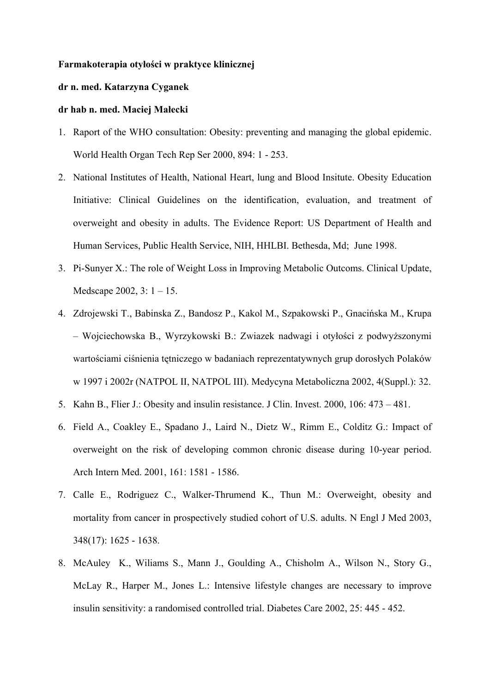#### **Farmakoterapia otyłości w praktyce klinicznej**

## **dr n. med. Katarzyna Cyganek**

#### **dr hab n. med. Maciej Małecki**

- 1. Raport of the WHO consultation: Obesity: preventing and managing the global epidemic. World Health Organ Tech Rep Ser 2000, 894: 1 - 253.
- 2. National Institutes of Health, National Heart, lung and Blood Insitute. Obesity Education Initiative: Clinical Guidelines on the identification, evaluation, and treatment of overweight and obesity in adults. The Evidence Report: US Department of Health and Human Services, Public Health Service, NIH, HHLBI. Bethesda, Md; June 1998.
- 3. Pi-Sunyer X.: The role of Weight Loss in Improving Metabolic Outcoms. Clinical Update, Medscape 2002, 3: 1 – 15.
- 4. Zdrojewski T., Babinska Z., Bandosz P., Kakol M., Szpakowski P., Gnacińska M., Krupa – Wojciechowska B., Wyrzykowski B.: Zwiazek nadwagi i otyłości z podwyższonymi wartościami ciśnienia tętniczego w badaniach reprezentatywnych grup dorosłych Polaków w 1997 i 2002r (NATPOL II, NATPOL III). Medycyna Metaboliczna 2002, 4(Suppl.): 32.
- 5. Kahn B., Flier J.: Obesity and insulin resistance. J Clin. Invest. 2000, 106: 473 481.
- 6. Field A., Coakley E., Spadano J., Laird N., Dietz W., Rimm E., Colditz G.: Impact of overweight on the risk of developing common chronic disease during 10-year period. Arch Intern Med. 2001, 161: 1581 - 1586.
- 7. Calle E., Rodriguez C., Walker-Thrumend K., Thun M.: Overweight, obesity and mortality from cancer in prospectively studied cohort of U.S. adults. N Engl J Med 2003, 348(17): 1625 - 1638.
- 8. McAuley K., Wiliams S., Mann J., Goulding A., Chisholm A., Wilson N., Story G., McLay R., Harper M., Jones L.: Intensive lifestyle changes are necessary to improve insulin sensitivity: a randomised controlled trial. Diabetes Care 2002, 25: 445 - 452.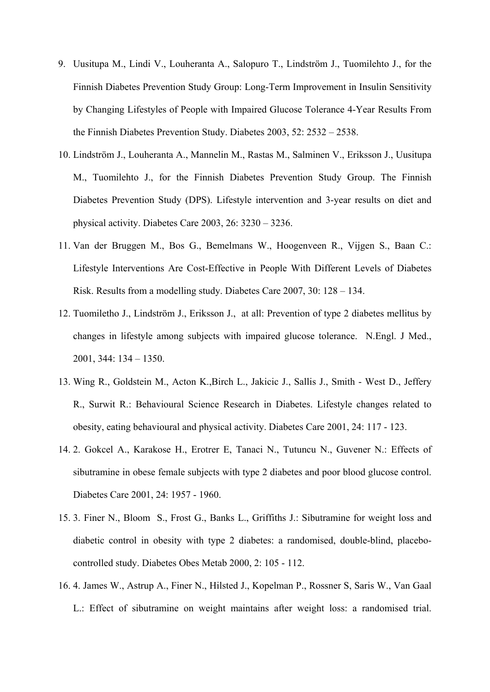- 9. Uusitupa M., Lindi V., Louheranta A., Salopuro T., Lindström J., Tuomilehto J., for the Finnish Diabetes Prevention Study Group: Long-Term Improvement in Insulin Sensitivity by Changing Lifestyles of People with Impaired Glucose Tolerance 4-Year Results From the Finnish Diabetes Prevention Study. Diabetes 2003, 52: 2532 – 2538.
- 10. Lindström J., Louheranta A., Mannelin M., Rastas M., Salminen V., Eriksson J., Uusitupa M., Tuomilehto J., for the Finnish Diabetes Prevention Study Group. The Finnish Diabetes Prevention Study (DPS). Lifestyle intervention and 3-year results on diet and physical activity. Diabetes Care 2003, 26: 3230 – 3236.
- 11. Van der Bruggen M., Bos G., Bemelmans W., Hoogenveen R., Vijgen S., Baan C.: Lifestyle Interventions Are Cost-Effective in People With Different Levels of Diabetes Risk. Results from a modelling study. Diabetes Care 2007, 30: 128 – 134.
- 12. Tuomiletho J., Lindström J., Eriksson J., at all: Prevention of type 2 diabetes mellitus by changes in lifestyle among subjects with impaired glucose tolerance. N.Engl. J Med., 2001, 344: 134 – 1350.
- 13. Wing R., Goldstein M., Acton K.,Birch L., Jakicic J., Sallis J., Smith West D., Jeffery R., Surwit R.: Behavioural Science Research in Diabetes. Lifestyle changes related to obesity, eating behavioural and physical activity. Diabetes Care 2001, 24: 117 - 123.
- 14. 2. Gokcel A., Karakose H., Erotrer E, Tanaci N., Tutuncu N., Guvener N.: Effects of sibutramine in obese female subjects with type 2 diabetes and poor blood glucose control. Diabetes Care 2001, 24: 1957 - 1960.
- 15. 3. Finer N., Bloom S., Frost G., Banks L., Griffiths J.: Sibutramine for weight loss and diabetic control in obesity with type 2 diabetes: a randomised, double-blind, placebocontrolled study. Diabetes Obes Metab 2000, 2: 105 - 112.
- 16. 4. James W., Astrup A., Finer N., Hilsted J., Kopelman P., Rossner S, Saris W., Van Gaal L.: Effect of sibutramine on weight maintains after weight loss: a randomised trial.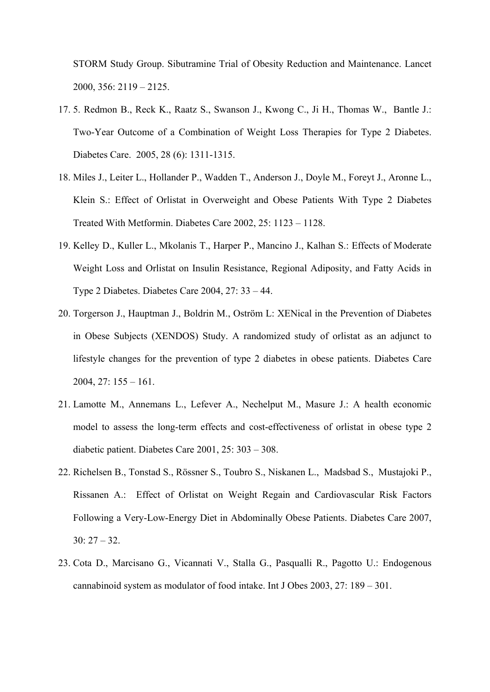STORM Study Group. Sibutramine Trial of Obesity Reduction and Maintenance. Lancet 2000, 356: 2119 – 2125.

- 17. 5. Redmon B., Reck K., Raatz S., Swanson J., Kwong C., Ji H., Thomas W., Bantle J.: Two-Year Outcome of a Combination of Weight Loss Therapies for Type 2 Diabetes. Diabetes Care. 2005, 28 (6): 1311-1315.
- 18. Miles J., Leiter L., Hollander P., Wadden T., Anderson J., Doyle M., Foreyt J., Aronne L., Klein S.: Effect of Orlistat in Overweight and Obese Patients With Type 2 Diabetes Treated With Metformin. Diabetes Care 2002, 25: 1123 – 1128.
- 19. Kelley D., Kuller L., Mkolanis T., Harper P., Mancino J., Kalhan S.: Effects of Moderate Weight Loss and Orlistat on Insulin Resistance, Regional Adiposity, and Fatty Acids in Type 2 Diabetes. Diabetes Care 2004, 27: 33 – 44.
- 20. Torgerson J., Hauptman J., Boldrin M., Oström L: XENical in the Prevention of Diabetes in Obese Subjects (XENDOS) Study. A randomized study of orlistat as an adjunct to lifestyle changes for the prevention of type 2 diabetes in obese patients. Diabetes Care 2004, 27: 155 – 161.
- 21. Lamotte M., Annemans L., Lefever A., Nechelput M., Masure J.: A health economic model to assess the long-term effects and cost-effectiveness of orlistat in obese type 2 diabetic patient. Diabetes Care 2001, 25: 303 – 308.
- 22. Richelsen B., Tonstad S., Rössner S., Toubro S., Niskanen L., Madsbad S., Mustajoki P., Rissanen A.: Effect of Orlistat on Weight Regain and Cardiovascular Risk Factors Following a Very-Low-Energy Diet in Abdominally Obese Patients. Diabetes Care 2007, 30: 27 – 32.
- 23. Cota D., Marcisano G., Vicannati V., Stalla G., Pasqualli R., Pagotto U.: Endogenous cannabinoid system as modulator of food intake. Int J Obes 2003, 27: 189 – 301.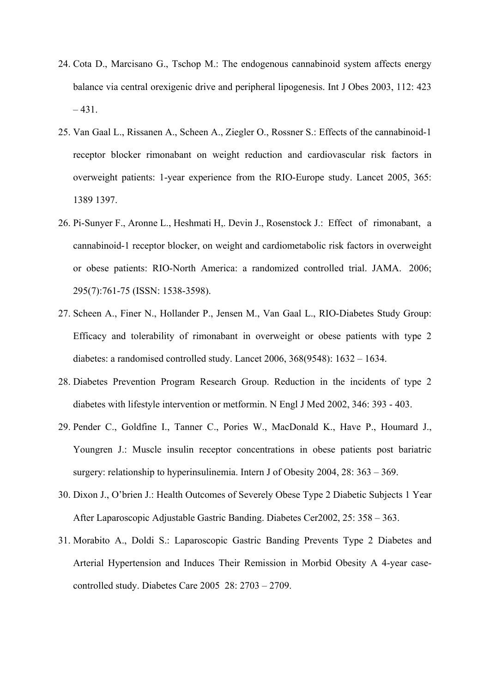- 24. Cota D., Marcisano G., Tschop M.: The endogenous cannabinoid system affects energy balance via central orexigenic drive and peripheral lipogenesis. Int J Obes 2003, 112: 423  $-431.$
- 25. Van Gaal L., Rissanen A., Scheen A., Ziegler O., Rossner S.: Effects of the cannabinoid-1 receptor blocker rimonabant on weight reduction and cardiovascular risk factors in overweight patients: 1-year experience from the RIO-Europe study. Lancet 2005, 365: 1389 1397.
- 26. Pi-Sunyer F., Aronne L., Heshmati H,. Devin J., Rosenstock J.: Effect of rimonabant, a cannabinoid-1 receptor blocker, on weight and cardiometabolic risk factors in overweight or obese patients: RIO-North America: a randomized controlled trial. JAMA. 2006; 295(7):761-75 (ISSN: 1538-3598).
- 27. Scheen A., Finer N., Hollander P., Jensen M., Van Gaal L., RIO-Diabetes Study Group: Efficacy and tolerability of rimonabant in overweight or obese patients with type 2 diabetes: a randomised controlled study. Lancet 2006, 368(9548): 1632 – 1634.
- 28. Diabetes Prevention Program Research Group. Reduction in the incidents of type 2 diabetes with lifestyle intervention or metformin. N Engl J Med 2002, 346: 393 - 403.
- 29. Pender C., Goldfine I., Tanner C., Pories W., MacDonald K., Have P., Houmard J., Youngren J.: Muscle insulin receptor concentrations in obese patients post bariatric surgery: relationship to hyperinsulinemia. Intern J of Obesity 2004, 28: 363 – 369.
- 30. Dixon J., O'brien J.: Health Outcomes of Severely Obese Type 2 Diabetic Subjects 1 Year After Laparoscopic Adjustable Gastric Banding. Diabetes Cer2002, 25: 358 – 363.
- 31. Morabito A., Doldi S.: Laparoscopic Gastric Banding Prevents Type 2 Diabetes and Arterial Hypertension and Induces Their Remission in Morbid Obesity A 4-year casecontrolled study. Diabetes Care 2005 28: 2703 – 2709.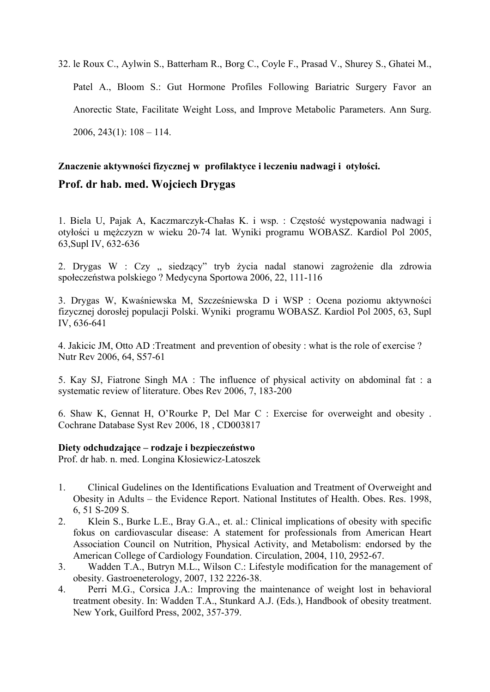32. le Roux C., Aylwin S., Batterham R., Borg C., Coyle F., Prasad V., Shurey S., Ghatei M., Patel A., Bloom S.: Gut Hormone Profiles Following Bariatric Surgery Favor an Anorectic State, Facilitate Weight Loss, and Improve Metabolic Parameters. Ann Surg. 2006, 243 $(1)$ : 108 – 114.

# **Znaczenie aktywności fizycznej w profilaktyce i leczeniu nadwagi i otyłości. Prof. dr hab. med. Wojciech Drygas**

1. Biela U, Pajak A, Kaczmarczyk-Chałas K. i wsp. : Częstość występowania nadwagi i otyłości u mężczyzn w wieku 20-74 lat. Wyniki programu WOBASZ. Kardiol Pol 2005, 63,Supl IV, 632-636

2. Drygas W : Czy " siedzący" tryb życia nadal stanowi zagrożenie dla zdrowia społeczeństwa polskiego ? Medycyna Sportowa 2006, 22, 111-116

3. Drygas W, Kwaśniewska M, Szcześniewska D i WSP : Ocena poziomu aktywności fizycznej dorosłej populacji Polski. Wyniki programu WOBASZ. Kardiol Pol 2005, 63, Supl IV, 636-641

4. Jakicic JM, Otto AD :Treatment and prevention of obesity : what is the role of exercise ? Nutr Rev 2006, 64, S57-61

5. Kay SJ, Fiatrone Singh MA : The influence of physical activity on abdominal fat : a systematic review of literature. Obes Rev 2006, 7, 183-200

6. Shaw K, Gennat H, O'Rourke P, Del Mar C : Exercise for overweight and obesity . Cochrane Database Syst Rev 2006, 18 , CD003817

#### **Diety odchudzające – rodzaje i bezpieczeństwo**

Prof. dr hab. n. med. Longina Kłosiewicz-Latoszek

- 1. Clinical Gudelines on the Identifications Evaluation and Treatment of Overweight and Obesity in Adults – the Evidence Report. National Institutes of Health. Obes. Res. 1998, 6, 51 S-209 S.
- 2. Klein S., Burke L.E., Bray G.A., et. al.: Clinical implications of obesity with specific fokus on cardiovascular disease: A statement for professionals from American Heart Association Council on Nutrition, Physical Activity, and Metabolism: endorsed by the American College of Cardiology Foundation. Circulation, 2004, 110, 2952-67.
- 3. Wadden T.A., Butryn M.L., Wilson C.: Lifestyle modification for the management of obesity. Gastroeneterology, 2007, 132 2226-38.
- 4. Perri M.G., Corsica J.A.: Improving the maintenance of weight lost in behavioral treatment obesity. In: Wadden T.A., Stunkard A.J. (Eds.), Handbook of obesity treatment. New York, Guilford Press, 2002, 357-379.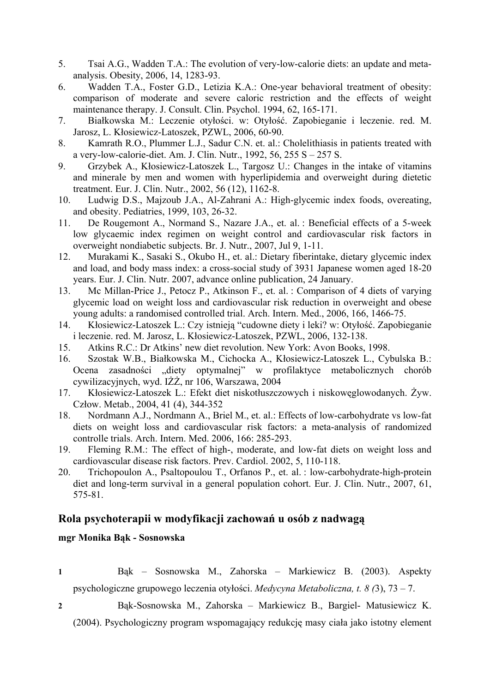- 5. Tsai A.G., Wadden T.A.: The evolution of very-low-calorie diets: an update and metaanalysis. Obesity, 2006, 14, 1283-93.
- 6. Wadden T.A., Foster G.D., Letizia K.A.: One-year behavioral treatment of obesity: comparison of moderate and severe caloric restriction and the effects of weight maintenance therapy. J. Consult. Clin. Psychol. 1994, 62, 165-171.
- 7. Białkowska M.: Leczenie otyłości. w: Otyłość. Zapobieganie i leczenie. red. M. Jarosz, L. Kłosiewicz-Latoszek, PZWL, 2006, 60-90.
- 8. Kamrath R.O., Plummer L.J., Sadur C.N. et. al.: Cholelithiasis in patients treated with a very-low-calorie-diet. Am. J. Clin. Nutr., 1992, 56, 255 S – 257 S.
- 9. Grzybek A., Kłosiewicz-Latoszek L., Targosz U.: Changes in the intake of vitamins and minerale by men and women with hyperlipidemia and overweight during dietetic treatment. Eur. J. Clin. Nutr., 2002, 56 (12), 1162-8.
- 10. Ludwig D.S., Majzoub J.A., Al-Zahrani A.: High-glycemic index foods, overeating, and obesity. Pediatries, 1999, 103, 26-32.
- 11. De Rougemont A., Normand S., Nazare J.A., et. al. : Beneficial effects of a 5-week low glycaemic index regimen on weight control and cardiovascular risk factors in overweight nondiabetic subjects. Br. J. Nutr., 2007, Jul 9, 1-11.
- 12. Murakami K., Sasaki S., Okubo H., et. al.: Dietary fiberintake, dietary glycemic index and load, and body mass index: a cross-social study of 3931 Japanese women aged 18-20 years. Eur. J. Clin. Nutr. 2007, advance online publication, 24 January.
- 13. Mc Millan-Price J., Petocz P., Atkinson F., et. al. : Comparison of 4 diets of varying glycemic load on weight loss and cardiovascular risk reduction in overweight and obese young adults: a randomised controlled trial. Arch. Intern. Med., 2006, 166, 1466-75.
- 14. Kłosiewicz-Latoszek L.: Czy istnieją "cudowne diety i leki? w: Otyłość. Zapobieganie i leczenie. red. M. Jarosz, L. Kłosiewicz-Latoszek, PZWL, 2006, 132-138.
- 15. Atkins R.C.: Dr Atkins' new diet revolution. New York: Avon Books, 1998.
- 16. Szostak W.B., Białkowska M., Cichocka A., Kłosiewicz-Latoszek L., Cybulska B.: Ocena zasadności "diety optymalnej" w profilaktyce metabolicznych chorób cywilizacyjnych, wyd. IŻŻ, nr 106, Warszawa, 2004
- 17. Kłosiewicz-Latoszek L.: Efekt diet niskotłuszczowych i niskowęglowodanych. Żyw. Człow. Metab., 2004, 41 (4), 344-352
- 18. Nordmann A.J., Nordmann A., Briel M., et. al.: Effects of low-carbohydrate vs low-fat diets on weight loss and cardiovascular risk factors: a meta-analysis of randomized controlle trials. Arch. Intern. Med. 2006, 166: 285-293.
- 19. Fleming R.M.: The effect of high-, moderate, and low-fat diets on weight loss and cardiovascular disease risk factors. Prev. Cardiol. 2002, 5, 110-118.
- 20. Trichopoulon A., Psaltopoulou T., Orfanos P., et. al. : low-carbohydrate-high-protein diet and long-term survival in a general population cohort. Eur. J. Clin. Nutr., 2007, 61, 575-81.

# **Rola psychoterapii w modyfikacji zachowań u osób z nadwagą**

**mgr Monika Bąk - Sosnowska** 

- **1** Bąk Sosnowska M., Zahorska Markiewicz B. (2003). Aspekty psychologiczne grupowego leczenia otyłości. *Medycyna Metaboliczna, t. 8 (*3), 73 – 7.
- **2** Bąk-Sosnowska M., Zahorska Markiewicz B., Bargiel- Matusiewicz K. (2004). Psychologiczny program wspomagający redukcję masy ciała jako istotny element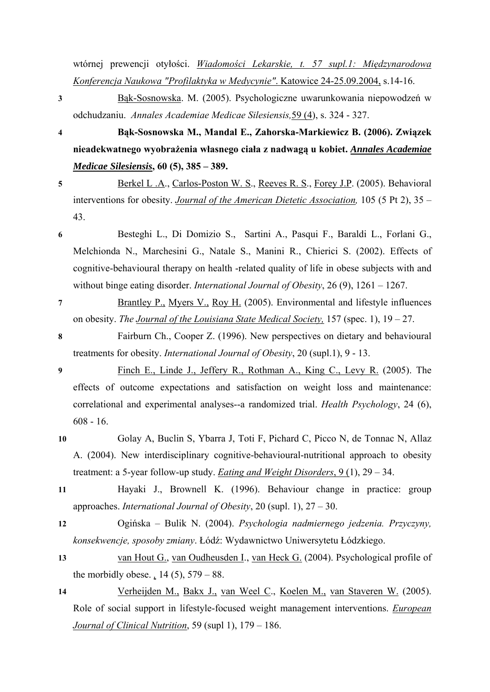wtórnej prewencji otyłości. *Wiadomości Lekarskie, t. 57 supl.1: Międzynarodowa Konferencja Naukowa "Profilaktyka w Medycynie"*. Katowice 24-25.09.2004, s.14-16.

- **3** Bą[k-Sosnowska](http://www.slam.katowice.pl/scripts/expertus.exe?KAT=c%3A%5Cexpertus.cd%5Cbib%5Cpar%5C&FST=data.fst&FDT=data.fdt&ekran=ISO&lnkmsk=2&cond=AND&sort=1%2C11&mask=2&F_00=02&V_00=B%B1k-Sosnowska+Monika). M. (2005). Psychologiczne uwarunkowania niepowodzeń w odchudzaniu. *[Annales Academiae Medicae Silesiensis,](http://www.slam.katowice.pl/scripts/expertus.exe?KAT=c%3A%5Cexpertus.cd%5Cbib%5Cpar%5C&FST=data.fst&FDT=data.fdt&ekran=ISO&lnkmsk=2&cond=AND&sort=1%2C11&mask=2&F_00=06&V_00=Ann.Acad.Med.Siles.+2005+Vol.59+No.4)*59 (4), s. 324 - 327.
- **4 Bąk-Sosnowska M., Mandal E., Zahorska-Markiewicz B. (2006). Związek nieadekwatnego wyobrażenia własnego ciała z nadwagą u kobiet.** *[Annales Academiae](http://www.viamedica.pl/gazety/gazetaJ/index.phtml)  [Medicae Silesiensis](http://www.viamedica.pl/gazety/gazetaJ/index.phtml)***, 60 (5), 385 – 389.**
- **5** [Berkel L .A](http://medlib.slam.katowice.pl:8590/webspirs/doLS.ws?ss=Berkel-L-A+in+AU)., [Carlos-Poston W. S.](http://medlib.slam.katowice.pl:8590/webspirs/doLS.ws?ss=Carlos-Poston-W-S+in+AU), [Reeves R. S.](http://medlib.slam.katowice.pl:8590/webspirs/doLS.ws?ss=Reeves-R-S+in+AU), [Forey J.P](http://medlib.slam.katowice.pl:8590/webspirs/doLS.ws?ss=Foreyt-J-P+in+AU). (2005). Behavioral interventions for obesity. *[Journal of the American Dietetic Association](http://medlib.slam.katowice.pl:8590/webspirs/doLS.ws?ss=Journal-of-the-American-Dietetic-Association+in+JN),* 105 (5 Pt 2), 35 – 43.
- **6** Besteghi L., Di Domizio S., Sartini A., Pasqui F., Baraldi L., Forlani G., Melchionda N., Marchesini G., Natale S., Manini R., Chierici S. (2002). Effects of cognitive-behavioural therapy on health -related quality of life in obese subjects with and without binge eating disorder. *International Journal of Obesity*, 26 (9), 1261 – 1267.
- **7** [Brantley P.,](http://medlib.slam.katowice.pl:8590/webspirs/doLS.ws?ss=Brantley-P-J+in+AU) [Myers V.,](http://medlib.slam.katowice.pl:8590/webspirs/doLS.ws?ss=Myers-V-H+in+AU) [Roy H.](http://medlib.slam.katowice.pl:8590/webspirs/doLS.ws?ss=Roy-H-J+in+AU) (2005). Environmental and lifestyle influences on obesity. *The [Journal of the Louisiana State Medical Society,](http://medlib.slam.katowice.pl:8590/webspirs/doLS.ws?ss=Journal-of-the-Louisiana-State-Medical-Society-official-organ-of-the-Louisiana-State+in+JN)* 157 (spec. 1), 19 – 27.
- **8** Fairburn Ch., Cooper Z. (1996). New perspectives on dietary and behavioural treatments for obesity. *International Journal of Obesity*, 20 (supl.1), 9 - 13.
- **9** [Finch E., Linde J., Jeffery R., Rothman A., King C., Levy R.](http://www.ncbi.nlm.nih.gov/entrez/query.fcgi?db=pubmed&cmd=Retrieve&dopt=AbstractPlus&list_uids=16287407&query_hl=2&itool=pubmed_DocSum) (2005). The effects of outcome expectations and satisfaction on weight loss and maintenance: correlational and experimental analyses--a randomized trial. *Health Psychology*, 24 (6), 608 - 16.
- **10** Golay A, Buclin S, Ybarra J, Toti F, Pichard C, Picco N, de Tonnac N, Allaz A. (2004). New interdisciplinary cognitive-behavioural-nutritional approach to obesity treatment: a 5-year follow-up study. *[Eating and Weight Disorders](http://medlib.slam.katowice.pl:8590/webspirs/doLS.ws?ss=Eating-and-weight-disorders-EWD+in+JN)*, 9 (1), 29 – 34.
- **11** Hayaki J., Brownell K. (1996). Behaviour change in practice: group approaches. *International Journal of Obesity*, 20 (supl. 1), 27 – 30.
- **12** Ogińska Bulik N. (2004). *Psychologia nadmiernego jedzenia. Przyczyny, konsekwencje, sposoby zmiany*. Łódź: Wydawnictwo Uniwersytetu Łódzkiego.
- **13** [van Hout G.](http://medlib.slam.katowice.pl:8590/webspirs/doLS.ws?ss=van-Hout-G-C+in+AU), [van Oudheusden I.](http://medlib.slam.katowice.pl:8590/webspirs/doLS.ws?ss=van-Oudheusden-I+in+AU), [van Heck G.](http://medlib.slam.katowice.pl:8590/webspirs/doLS.ws?ss=van-Heck-G-L+in+AU) (2004). Psychological profile of the morbidly obese. *[,](http://medlib.slam.katowice.pl:8590/webspirs/doLS.ws?ss=Obesity-surgery-the-official-journal-of-the-American-Society-for-Bariatric-Surgery-a+in+JN)* 14 (5), 579 – 88.
- **14** [Verheijden M.,](http://medlib.slam.katowice.pl:8590/webspirs/doLS.ws?ss=Verheijden-M-W+in+AU) [Bakx J.,](http://medlib.slam.katowice.pl:8590/webspirs/doLS.ws?ss=Bakx-J-C+in+AU) [van Weel C.](http://medlib.slam.katowice.pl:8590/webspirs/doLS.ws?ss=van-Weel-C+in+AU), [Koelen M.,](http://medlib.slam.katowice.pl:8590/webspirs/doLS.ws?ss=Koelen-M-A+in+AU) [van Staveren W.](http://medlib.slam.katowice.pl:8590/webspirs/doLS.ws?ss=van-Staveren-W-A+in+AU) (2005). Role of social support in lifestyle-focused weight management interventions. *[European](http://medlib.slam.katowice.pl:8590/webspirs/doLS.ws?ss=European-journal-of-clinical-nutrition+in+JN)  [Journal of Clinical Nutrition](http://medlib.slam.katowice.pl:8590/webspirs/doLS.ws?ss=European-journal-of-clinical-nutrition+in+JN)*, 59 (supl 1), 179 – 186.